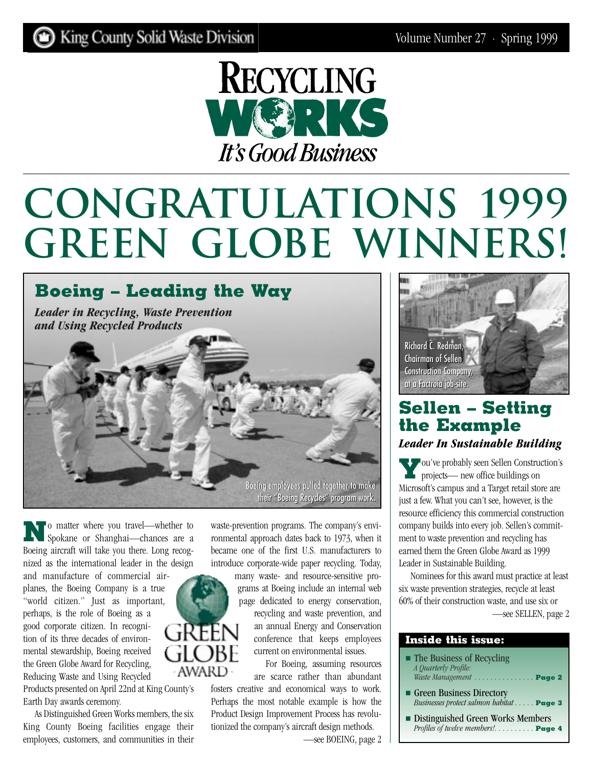

# **Congratulations 1999 Green Globe Winners!**



**N**o matter where you travel—whether to Spokane or Shanghai—chances are a Boeing aircraft will take you there. Long recognized as the international leader in the design

and manufacture of commercial airplanes, the Boeing Company is a true "world citizen." Just as important, perhaps, is the role of Boeing as a good corporate citizen. In recogni-GREF tion of its three decades of environmental stewardship, Boeing received the Green Globe Award for Recycling, Reducing Waste and Using Recycled

Products presented on April 22nd at King County's Earth Day awards ceremony.

As Distinguished Green Works members, the six King County Boeing facilities engage their employees, customers, and communities in their

waste-prevention programs. The company's environmental approach dates back to 1973, when it became one of the first U.S. manufacturers to introduce corporate-wide paper recycling. Today,

many waste- and resource-sensitive programs at Boeing include an internal web page dedicated to energy conservation, recycling and waste prevention, and an annual Energy and Conservation

conference that keeps employees current on environmental issues.

For Boeing, assuming resources **AWARD** are scarce rather than abundant fosters creative and economical ways to work. Perhaps the most notable example is how the Product Design Improvement Process has revolutionized the company's aircraft design methods.

[—see BOEING, page 2](#page-1-0)



## **Sellen – Setting the Example**  *Leader In Sustainable Building*

**Y**ou've probably seen Sellen Construction's projects— new office buildings on Microsoft's campus and a Target retail store are just a few. What you can't see, however, is the resource efficiency this commercial construction company builds into every job. Sellen's commitment to waste prevention and recycling has earned them the Green Globe Award as 1999 Leader in Sustainable Building.

Nominees for this award must practice at least six waste prevention strategies, recycle at least 60% of their construction waste, and use six or [—see SELLEN, page 2](#page-1-0)

|  |  | <b>Inside this issue:</b> |  |  |  |  |
|--|--|---------------------------|--|--|--|--|
|  |  |                           |  |  |  |  |

- The Business of Recycling *A Quarterly Profile: [Waste Management . . . . . . . . . . . . . . .](#page-2-0)* **Page 2**
- Green Business Directory *[Businesses protect salmon habitat . . . . .](#page-2-0)* **Page 3**
- [Distinguished Green Works Members](#page-3-0) *Profiles of twelve members!. . . . . . . . . .* **Page 4**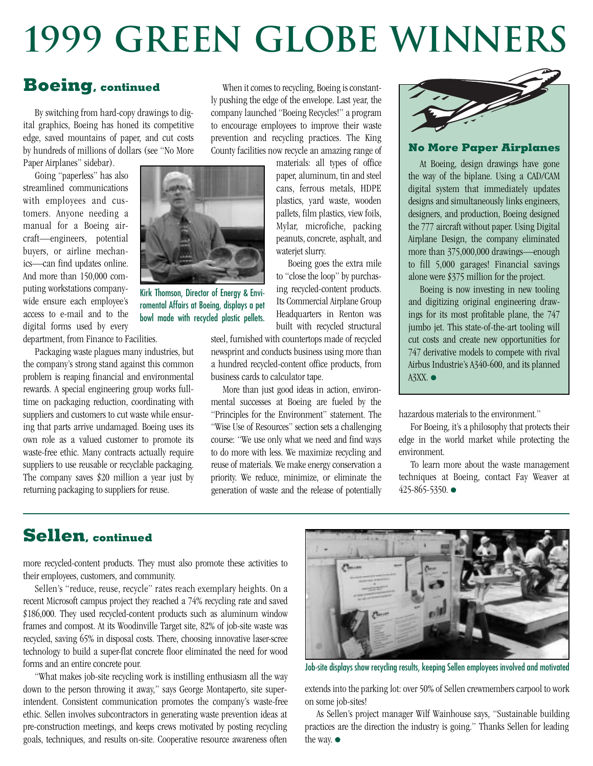# <span id="page-1-0"></span>**1999 Green Globe Winners**

## **Boeing, continued**

By switching from hard-copy drawings to digital graphics, Boeing has honed its competitive edge, saved mountains of paper, and cut costs by hundreds of millions of dollars (see "No More Paper Airplanes" sidebar).

Going "paperless" has also streamlined communications with employees and customers. Anyone needing a manual for a Boeing aircraft—engineers, potential buyers, or airline mechanics—can find updates online. And more than 150,000 computing workstations companywide ensure each employee's access to e-mail and to the digital forms used by every department, from Finance to Facilities.

Packaging waste plagues many industries, but the company's strong stand against this common problem is reaping financial and environmental rewards. A special engineering group works fulltime on packaging reduction, coordinating with suppliers and customers to cut waste while ensuring that parts arrive undamaged. Boeing uses its own role as a valued customer to promote its waste-free ethic. Many contracts actually require suppliers to use reusable or recyclable packaging. The company saves \$20 million a year just by returning packaging to suppliers for reuse.

When it comes to recycling, Boeing is constantly pushing the edge of the envelope. Last year, the company launched "Boeing Recycles!" a program to encourage employees to improve their waste prevention and recycling practices. The King County facilities now recycle an amazing range of

materials: all types of office paper, aluminum, tin and steel cans, ferrous metals, HDPE plastics, yard waste, wooden pallets, film plastics, view foils, Mylar, microfiche, packing peanuts, concrete, asphalt, and waterjet slurry.

Boeing goes the extra mile to "close the loop" by purchasing recycled-content products. Its Commercial Airplane Group Headquarters in Renton was built with recycled structural

steel, furnished with countertops made of recycled newsprint and conducts business using more than a hundred recycled-content office products, from business cards to calculator tape.

More than just good ideas in action, environmental successes at Boeing are fueled by the "Principles for the Environment" statement. The "Wise Use of Resources" section sets a challenging course: "We use only what we need and find ways to do more with less. We maximize recycling and reuse of materials. We make energy conservation a priority. We reduce, minimize, or eliminate the generation of waste and the release of potentially



#### **No More Paper Airplanes**

At Boeing, design drawings have gone the way of the biplane. Using a CAD/CAM digital system that immediately updates designs and simultaneously links engineers, designers, and production, Boeing designed the 777 aircraft without paper. Using Digital Airplane Design, the company eliminated more than 375,000,000 drawings—enough to fill 5,000 garages! Financial savings alone were \$375 million for the project.

Boeing is now investing in new tooling and digitizing original engineering drawings for its most profitable plane, the 747 jumbo jet. This state-of-the-art tooling will cut costs and create new opportunities for 747 derivative models to compete with rival Airbus Industrie's A340-600, and its planned A3XX. ●

hazardous materials to the environment."

For Boeing, it's a philosophy that protects their edge in the world market while protecting the environment.

To learn more about the waste management techniques at Boeing, contact Fay Weaver at 425-865-5350. ●

## **Sellen, continued**

more recycled-content products. They must also promote these activities to their employees, customers, and community.

Sellen's "reduce, reuse, recycle" rates reach exemplary heights. On a recent Microsoft campus project they reached a 74% recycling rate and saved \$186,000. They used recycled-content products such as aluminum window frames and compost. At its Woodinville Target site, 82% of job-site waste was recycled, saving 65% in disposal costs. There, choosing innovative laser-scree technology to build a super-flat concrete floor eliminated the need for wood forms and an entire concrete pour.

"What makes job-site recycling work is instilling enthusiasm all the way down to the person throwing it away," says George Montaperto, site superintendent. Consistent communication promotes the company's waste-free ethic. Sellen involves subcontractors in generating waste prevention ideas at pre-construction meetings, and keeps crews motivated by posting recycling goals, techniques, and results on-site. Cooperative resource awareness often



Job-site displays show recycling results, keeping Sellen employees involved and motivated

extends into the parking lot: over 50% of Sellen crewmembers carpool to work on some job-sites!

As Sellen's project manager Wilf Wainhouse says, "Sustainable building practices are the direction the industry is going." Thanks Sellen for leading the way. ●



romental Affairs at Boeing, displays a pet bowl made with recycled plastic pellets.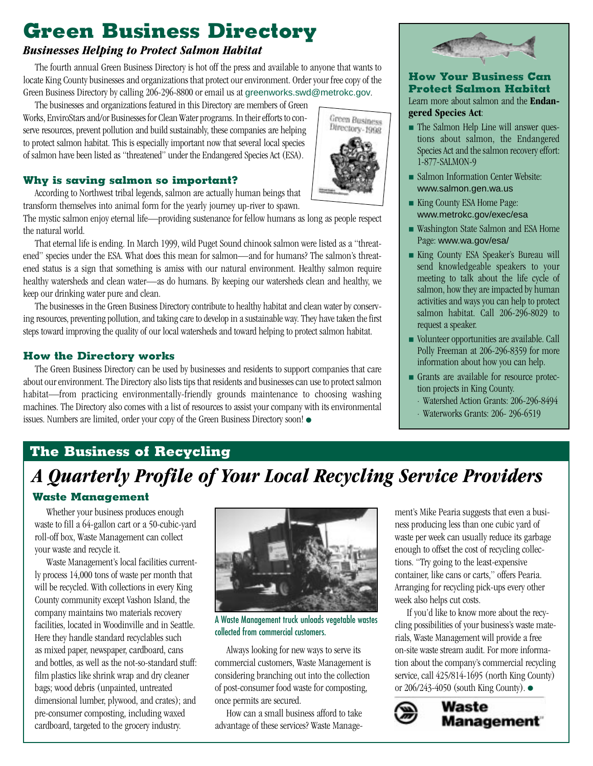## <span id="page-2-0"></span>**Green Business Directory**

#### *Businesses Helping to Protect Salmon Habitat*

The fourth annual Green Business Directory is hot off the press and available to anyone that wants to locate King County businesses and organizations that protect our environment. Order your free copy of the Green Business Directory by calling 206-296-8800 or email us at greenworks.swd@metrokc.gov.

The businesses and organizations featured in this Directory are members of Green Works, EnviroStars and/or Businesses for Clean Water programs. In their efforts to conserve resources, prevent pollution and build sustainably, these companies are helping to protect salmon habitat. This is especially important now that several local species of salmon have been listed as "threatened" under the Endangered Species Act (ESA).

#### **Why is saving salmon so important?**

According to Northwest tribal legends, salmon are actually human beings that transform themselves into animal form for the yearly journey up-river to spawn.

The mystic salmon enjoy eternal life—providing sustenance for fellow humans as long as people respect the natural world.

That eternal life is ending. In March 1999, wild Puget Sound chinook salmon were listed as a "threatened" species under the ESA. What does this mean for salmon—and for humans? The salmon's threatened status is a sign that something is amiss with our natural environment. Healthy salmon require healthy watersheds and clean water—as do humans. By keeping our watersheds clean and healthy, we keep our drinking water pure and clean.

The businesses in the Green Business Directory contribute to healthy habitat and clean water by conserving resources, preventing pollution, and taking care to develop in a sustainable way. They have taken the first steps toward improving the quality of our local watersheds and toward helping to protect salmon habitat.

#### **How the Directory works**

The Green Business Directory can be used by businesses and residents to support companies that care about our environment. The Directory also lists tips that residents and businesses can use to protect salmon habitat—from practicing environmentally-friendly grounds maintenance to choosing washing machines. The Directory also comes with a list of resources to assist your company with its environmental issues. Numbers are limited, order your copy of the Green Business Directory soon! ●



#### **How Your Business Can Protect Salmon Habitat** Learn more about salmon and the **Endangered Species Act**:

**Green Business** Directory-1998

- The Salmon Help Line will answer questions about salmon, the Endangered Species Act and the salmon recovery effort: 1-877-SALMON-9
- Salmon Information Center Website: [www.salmon.gen.wa.us](http://www.salmon.gen.wa.us)
- King County ESA Home Page: [www.metrokc.gov/exec/esa](http://www.metrokc.gov/exec/esa)
- Washington State Salmon and ESA Home Page: [www.wa.gov/esa/](http://www.wa.gov/esa/)
- King County ESA Speaker's Bureau will send knowledgeable speakers to your meeting to talk about the life cycle of salmon, how they are impacted by human activities and ways you can help to protect salmon habitat. Call 206-296-8029 to request a speaker.
- Volunteer opportunities are available. Call Polly Freeman at 206-296-8359 for more information about how you can help.
- Grants are available for resource protection projects in King County.
	- · Watershed Action Grants: 206-296-8494
	- · Waterworks Grants: 206- 296-6519

## **The Business of Recycling**

## *A Quarterly Profile of Your Local Recycling Service Providers*

#### **Waste Management**

Whether your business produces enough waste to fill a 64-gallon cart or a 50-cubic-yard roll-off box, Waste Management can collect your waste and recycle it.

Waste Management's local facilities currently process 14,000 tons of waste per month that will be recycled. With collections in every King County community except Vashon Island, the company maintains two materials recovery facilities, located in Woodinville and in Seattle. Here they handle standard recyclables such as mixed paper, newspaper, cardboard, cans and bottles, as well as the not-so-standard stuff: film plastics like shrink wrap and dry cleaner bags; wood debris (unpainted, untreated dimensional lumber, plywood, and crates); and pre-consumer composting, including waxed cardboard, targeted to the grocery industry.



A Waste Management truck unloads vegetable wastes collected from commercial customers.

Always looking for new ways to serve its commercial customers, Waste Management is considering branching out into the collection of post-consumer food waste for composting, once permits are secured.

How can a small business afford to take advantage of these services? Waste Management's Mike Pearia suggests that even a business producing less than one cubic yard of waste per week can usually reduce its garbage enough to offset the cost of recycling collections. "Try going to the least-expensive container, like cans or carts," offers Pearia. Arranging for recycling pick-ups every other week also helps cut costs.

If you'd like to know more about the recycling possibilities of your business's waste materials, Waste Management will provide a free on-site waste stream audit. For more information about the company's commercial recycling service, call 425/814-1695 (north King County) or 206/243-4050 (south King County). ●

Waste

**Management** 

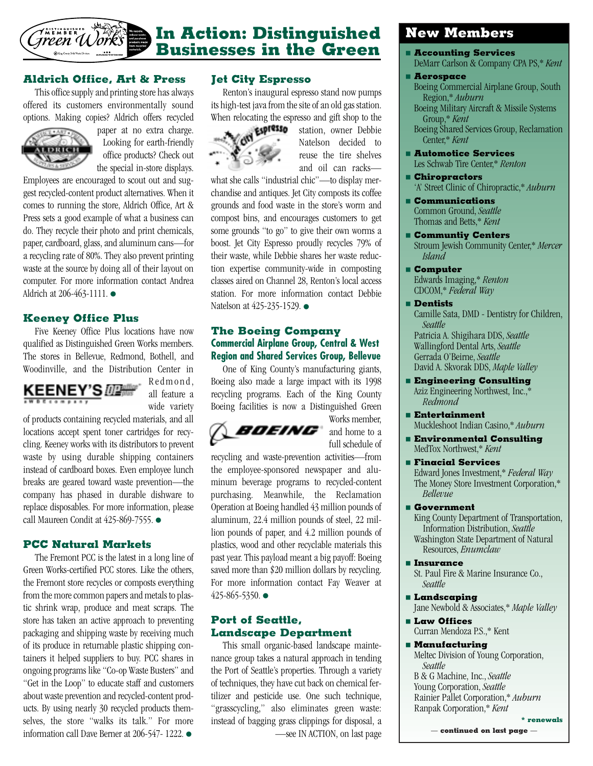<span id="page-3-0"></span>

## **In Action: Distinguished Businesses in the Green**

#### **Aldrich Office, Art & Press**

This office supply and printing store has always offered its customers environmentally sound options. Making copies? Aldrich offers recycled



paper at no extra charge. Looking for earth-friendly office products? Check out the special in-store displays.

Employees are encouraged to scout out and suggest recycled-content product alternatives. When it comes to running the store, Aldrich Office, Art & Press sets a good example of what a business can do. They recycle their photo and print chemicals, paper, cardboard, glass, and aluminum cans—for a recycling rate of 80%. They also prevent printing waste at the source by doing all of their layout on computer. For more information contact Andrea Aldrich at 206-463-1111. ●

#### **Keeney Office Plus**

Five Keeney Office Plus locations have now qualified as Distinguished Green Works members. The stores in Bellevue, Redmond, Bothell, and Woodinville, and the Distribution Center in



Redmond, all feature a wide variety

of products containing recycled materials, and all locations accept spent toner cartridges for recycling. Keeney works with its distributors to prevent waste by using durable shipping containers instead of cardboard boxes. Even employee lunch breaks are geared toward waste prevention—the company has phased in durable dishware to replace disposables. For more information, please call Maureen Condit at 425-869-7555. ●

#### **PCC Natural Markets**

The Fremont PCC is the latest in a long line of Green Works-certified PCC stores. Like the others, the Fremont store recycles or composts everything from the more common papers and metals to plastic shrink wrap, produce and meat scraps. The store has taken an active approach to preventing packaging and shipping waste by receiving much of its produce in returnable plastic shipping containers it helped suppliers to buy. PCC shares in ongoing programs like "Co-op Waste Busters" and "Get in the Loop" to educate staff and customers about waste prevention and recycled-content products. By using nearly 30 recycled products themselves, the store "walks its talk." For more information call Dave Berner at 206-547- 1222. ●

#### **Jet City Espresso**

Renton's inaugural espresso stand now pumps its high-test java from the site of an old gas station.



When relocating the espresso and gift shop to the<br> **EXPIRITO** station, owner Debbie station, owner Debbie Natelson decided to reuse the tire shelves and oil can racks—

what she calls "industrial chic"—to display merchandise and antiques. Jet City composts its coffee grounds and food waste in the store's worm and compost bins, and encourages customers to get some grounds "to go" to give their own worms a boost. Jet City Espresso proudly recycles 79% of their waste, while Debbie shares her waste reduction expertise community-wide in composting classes aired on Channel 28, Renton's local access station. For more information contact Debbie Natelson at 425-235-1529. ●

#### **The Boeing Company Commercial Airplane Group, Central & West Region and Shared Services Group, Bellevue**

One of King County's manufacturing giants, Boeing also made a large impact with its 1998 recycling programs. Each of the King County Boeing facilities is now a Distinguished Green



Works member, and home to a full schedule of

recycling and waste-prevention activities—from the employee-sponsored newspaper and aluminum beverage programs to recycled-content purchasing. Meanwhile, the Reclamation Operation at Boeing handled 43 million pounds of aluminum, 22.4 million pounds of steel, 22 million pounds of paper, and 4.2 million pounds of plastics, wood and other recyclable materials this past year. This payload meant a big payoff: Boeing saved more than \$20 million dollars by recycling. For more information contact Fay Weaver at 425-865-5350. ●

#### **Port of Seattle, Landscape Department**

This small organic-based landscape maintenance group takes a natural approach in tending the Port of Seattle's properties. Through a variety of techniques, they have cut back on chemical fertilizer and pesticide use. One such technique, "grasscycling," also eliminates green waste: instead of bagging grass clippings for disposal, a [—see IN ACTION, on last page](#page-4-0)

### **New Members**

- **Accounting Services**
	- DeMarr Carlson & Company CPA PS,\* *Kent*

#### ■ **Aerospace**

- Boeing Commercial Airplane Group, South Region,\* *Auburn*
- Boeing Military Aircraft & Missile Systems Group,\* *Kent*

Boeing Shared Services Group, Reclamation Center,\* *Kent*

- **Automotice Services** Les Schwab Tire Center,\* *Renton*
- **Chiropractors** 'A' Street Clinic of Chiropractic,\* *Auburn*
- **Communications** Common Ground, *Seattle* Thomas and Betts,\* *Kent*
- **Communtiy Centers** Stroum Jewish Community Center,\* *Mercer Island*
- **Computer** Edwards Imaging,\* *Renton* CDCOM,\* *Federal Way*
- **Dentists**

Camille Sata, DMD - Dentistry for Children, *Seattle* Patricia A. Shigihara DDS, *Seattle* Wallingford Dental Arts, *Seattle* Gerrada O'Beirne, *Seattle* David A. Skvorak DDS, *Maple Valley*

- **Engineering Consulting** Aziz Engineering Northwest, Inc.,\* *Redmond*
- **Entertainment** Muckleshoot Indian Casino,\* *Auburn*
- **Environmental Consulting** MedTox Northwest,\* *Kent*
- **Finacial Services** Edward Jones Investment,\* *Federal Way* The Money Store Investment Corporation,\* *Bellevue*
- **Government**

King County Department of Transportation, Information Distribution, *Seattle* Washington State Department of Natural Resources, *Enumclaw*

■ **Insurance**

St. Paul Fire & Marine Insurance Co., *Seattle*

■ **Landscaping**

Jane Newbold & Associates,\* *Maple Valley*

■ **Law Offices** Curran Mendoza P.S.,\* Kent

#### ■ **Manufacturing**

Meltec Division of Young Corporation, *Seattle* B & G Machine, Inc., *Seattle* Young Corporation, *Seattle* Rainier Pallet Corporation,\* *Auburn* Ranpak Corporation,\* *Kent*

— **[continued on last page](#page-4-0)** —

**\* renewals**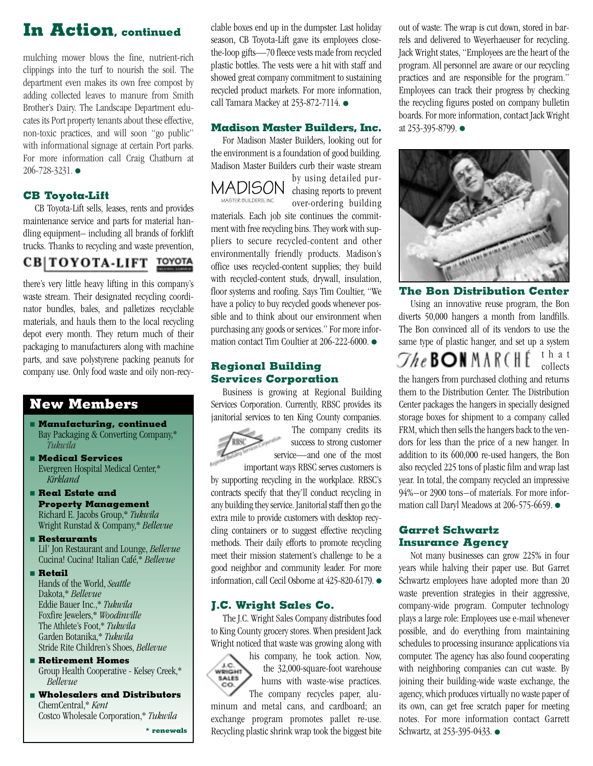## <span id="page-4-0"></span>**In Action, continued**

mulching mower blows the fine, nutrient-rich clippings into the turf to nourish the soil. The department even makes its own free compost by adding collected leaves to manure from Smith Brother's Dairy. The Landscape Department educates its Port property tenants about these effective, non-toxic practices, and will soon "go public" with informational signage at certain Port parks. For more information call Craig Chatburn at 206-728-3231. ●

#### **CB Toyota-Lift**

CB Toyota-Lift sells, leases, rents and provides maintenance service and parts for material handling equipment– including all brands of forklift trucks. Thanks to recycling and waste prevention,

## CB | TOYOTA-LIFT TOYOTA

there's very little heavy lifting in this company's waste stream. Their designated recycling coordinator bundles, bales, and palletizes recyclable materials, and hauls them to the local recycling depot every month. They return much of their packaging to manufacturers along with machine parts, and save polystyrene packing peanuts for company use. Only food waste and oily non-recy-

### **New Members**

- **Manufacturing, continued** Bay Packaging & Converting Company,\* *Tukwila*
- **Medical Services** Evergreen Hospital Medical Center,\* *Kirkland*
- **Real Estate and Property Management** Richard E. Jacobs Group,\* *Tukwila* Wright Runstad & Company,\* *Bellevue*
- **Restaurants** Lil' Jon Restaurant and Lounge, *Bellevue* Cucina! Cucina! Italian Café,\* *Bellevue*
- **Retail**
- Hands of the World, *Seattle* Dakota,\* *Bellevue* Eddie Bauer Inc.,\* *Tukwila* Foxfire Jewelers,\* *Woodinville* The Athlete's Foot,\* *Tukwila* Garden Botanika,\* *Tukwila* Stride Rite Children's Shoes, *Bellevue*
- **Retirement Homes** Group Health Cooperative - Kelsey Creek,\* *Bellevue*
- **Wholesalers and Distributors** ChemCentral,\* *Kent* Costco Wholesale Corporation,\* *Tukwila*

**\* renewals**

clable boxes end up in the dumpster. Last holiday season, CB Toyota-Lift gave its employees closethe-loop gifts—70 fleece vests made from recycled plastic bottles. The vests were a hit with staff and showed great company commitment to sustaining recycled product markets. For more information, call Tamara Mackey at 253-872-7114. ●

#### **Madison Master Builders, Inc.**

For Madison Master Builders, looking out for the environment is a foundation of good building. Madison Master Builders curb their waste stream

MADISON MASTER BUILDERS, INC.

by using detailed purchasing reports to prevent over-ordering building

materials. Each job site continues the commitment with free recycling bins. They work with suppliers to secure recycled-content and other environmentally friendly products. Madison's office uses recycled-content supplies; they build with recycled-content studs, drywall, insulation, floor systems and roofing. Says Tim Coultier, "We have a policy to buy recycled goods whenever possible and to think about our environment when purchasing any goods or services." For more information contact Tim Coultier at 206-222-6000. ●

#### **Regional Building Services Corporation**

Business is growing at Regional Building Services Corporation. Currently, RBSC provides its janitorial services to ten King County companies.



The company credits its success to strong customer service—and one of the most important ways RBSC serves customers is

by supporting recycling in the workplace. RBSC's contracts specify that they'll conduct recycling in any building they service. Janitorial staff then go the extra mile to provide customers with desktop recycling containers or to suggest effective recycling methods. Their daily efforts to promote recycling meet their mission statement's challenge to be a good neighbor and community leader. For more information, call Cecil Osborne at 425-820-6179. ●

#### **J.C. Wright Sales Co.**

The J.C. Wright Sales Company distributes food to King County grocery stores. When president Jack Wright noticed that waste was growing along with



his company, he took action. Now, the 32,000-square-foot warehouse hums with waste-wise practices. The company recycles paper, alu-

minum and metal cans, and cardboard; an exchange program promotes pallet re-use. Recycling plastic shrink wrap took the biggest bite out of waste: The wrap is cut down, stored in barrels and delivered to Weyerhaeuser for recycling. Jack Wright states, "Employees are the heart of the program. All personnel are aware or our recycling practices and are responsible for the program." Employees can track their progress by checking the recycling figures posted on company bulletin boards. For more information, contact Jack Wright at 253-395-8799. ●



**The Bon Distribution Center**

Using an innovative reuse program, the Bon diverts 50,000 hangers a month from landfills. The Bon convinced all of its vendors to use the same type of plastic hanger, and set up a system that  $\mathcal{T}he$  Bon March e collects the hangers from purchased clothing and returns them to the Distribution Center. The Distribution Center packages the hangers in specially designed storage boxes for shipment to a company called FRM, which then sells the hangers back to the vendors for less than the price of a new hanger. In addition to its 600,000 re-used hangers, the Bon also recycled 225 tons of plastic film and wrap last year. In total, the company recycled an impressive 94%–or 2900 tons–of materials. For more information call Daryl Meadows at 206-575-6659. ●

#### **Garret Schwartz Insurance Agency**

Not many businesses can grow 225% in four years while halving their paper use. But Garret Schwartz employees have adopted more than 20 waste prevention strategies in their aggressive, company-wide program. Computer technology plays a large role: Employees use e-mail whenever possible, and do everything from maintaining schedules to processing insurance applications via computer. The agency has also found cooperating with neighboring companies can cut waste. By joining their building-wide waste exchange, the agency, which produces virtually no waste paper of its own, can get free scratch paper for meeting notes. For more information contact Garrett Schwartz, at 253-395-0433. ●